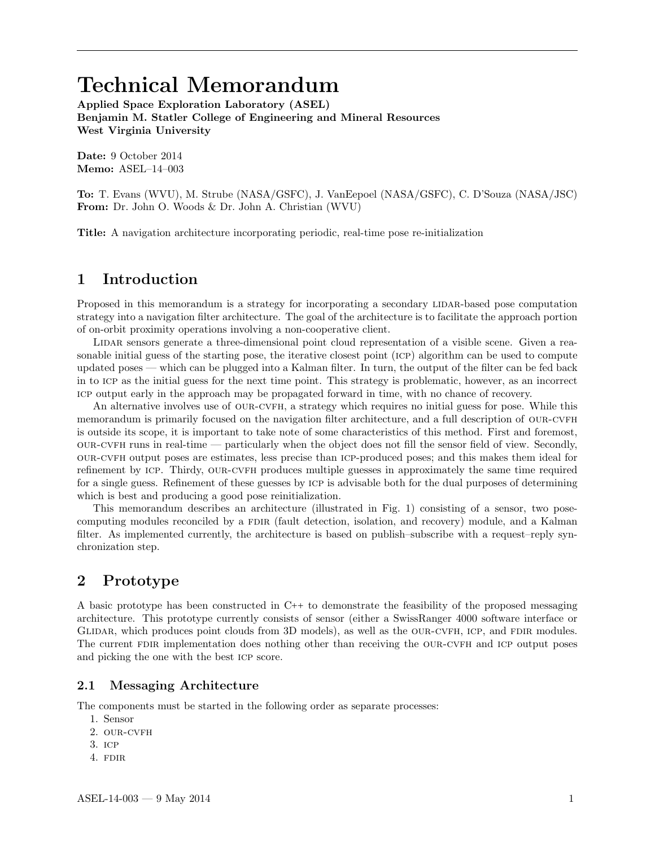# Technical Memorandum

Applied Space Exploration Laboratory (ASEL) Benjamin M. Statler College of Engineering and Mineral Resources West Virginia University

Date: 9 October 2014 Memo: ASEL–14–003

To: T. Evans (WVU), M. Strube (NASA/GSFC), J. VanEepoel (NASA/GSFC), C. D'Souza (NASA/JSC) From: Dr. John O. Woods & Dr. John A. Christian (WVU)

Title: A navigation architecture incorporating periodic, real-time pose re-initialization

# 1 Introduction

Proposed in this memorandum is a strategy for incorporating a secondary LIDAR-based pose computation strategy into a navigation filter architecture. The goal of the architecture is to facilitate the approach portion of on-orbit proximity operations involving a non-cooperative client.

LIDAR sensors generate a three-dimensional point cloud representation of a visible scene. Given a reasonable initial guess of the starting pose, the iterative closest point (icp) algorithm can be used to compute updated poses — which can be plugged into a Kalman filter. In turn, the output of the filter can be fed back in to icp as the initial guess for the next time point. This strategy is problematic, however, as an incorrect icp output early in the approach may be propagated forward in time, with no chance of recovery.

An alternative involves use of OUR-CVFH, a strategy which requires no initial guess for pose. While this memorandum is primarily focused on the navigation filter architecture, and a full description of OUR-CVFH is outside its scope, it is important to take note of some characteristics of this method. First and foremost,  $OUR-CVFH$  runs in real-time — particularly when the object does not fill the sensor field of view. Secondly, our-cvfh output poses are estimates, less precise than icp-produced poses; and this makes them ideal for refinement by icp. Thirdy, our-cvfh produces multiple guesses in approximately the same time required for a single guess. Refinement of these guesses by icp is advisable both for the dual purposes of determining which is best and producing a good pose reinitialization.

This memorandum describes an architecture (illustrated in Fig. 1) consisting of a sensor, two posecomputing modules reconciled by a FDIR (fault detection, isolation, and recovery) module, and a Kalman filter. As implemented currently, the architecture is based on publish–subscribe with a request–reply synchronization step.

# 2 Prototype

A basic prototype has been constructed in C++ to demonstrate the feasibility of the proposed messaging architecture. This prototype currently consists of sensor (either a SwissRanger 4000 software interface or GLIDAR, which produces point clouds from 3D models), as well as the OUR-CVFH, ICP, and FDIR modules. The current FDIR implementation does nothing other than receiving the OUR-CVFH and ICP output poses and picking the one with the best icp score.

#### 2.1 Messaging Architecture

The components must be started in the following order as separate processes:

- 1. Sensor
- 2. OUR-CVFH
- 3. icp
- 4. FDIR